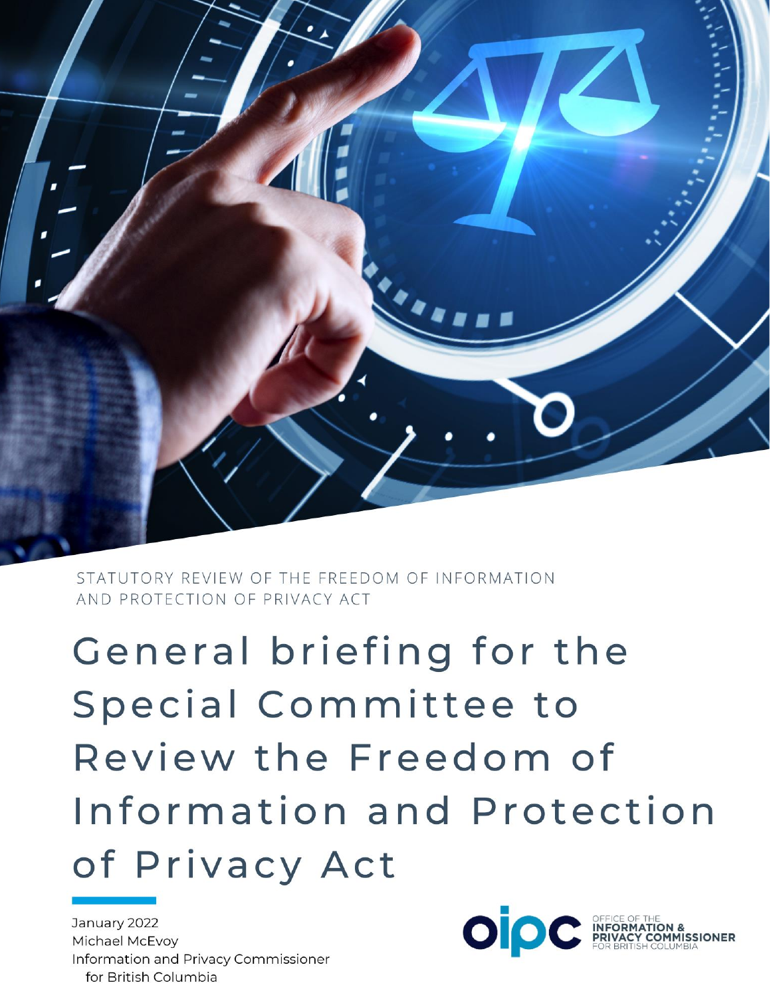

STATUTORY REVIEW OF THE FREEDOM OF INFORMATION AND PROTECTION OF PRIVACY ACT

General briefing for the Special Committee to Review the Freedom of Information and Protection of Privacy Act

January 2022 Michael McEvoy Information and Privacy Commissioner for British Columbia

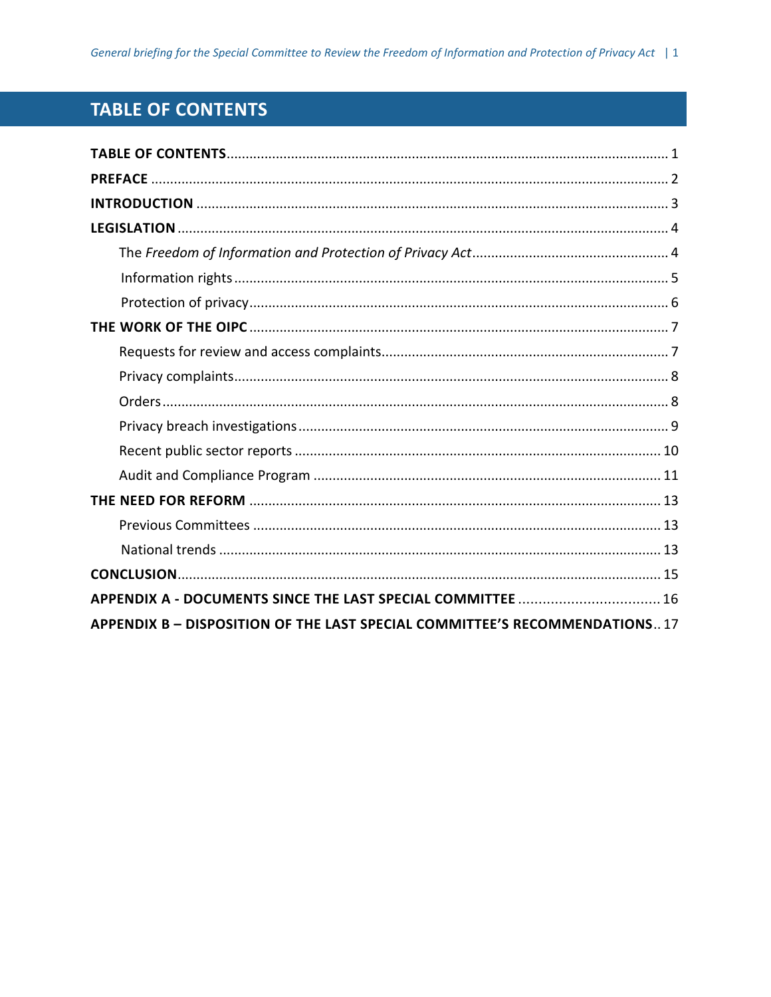# <span id="page-1-0"></span>**TABLE OF CONTENTS**

| APPENDIX A - DOCUMENTS SINCE THE LAST SPECIAL COMMITTEE  16                 |
|-----------------------------------------------------------------------------|
| APPENDIX B - DISPOSITION OF THE LAST SPECIAL COMMITTEE'S RECOMMENDATIONS 17 |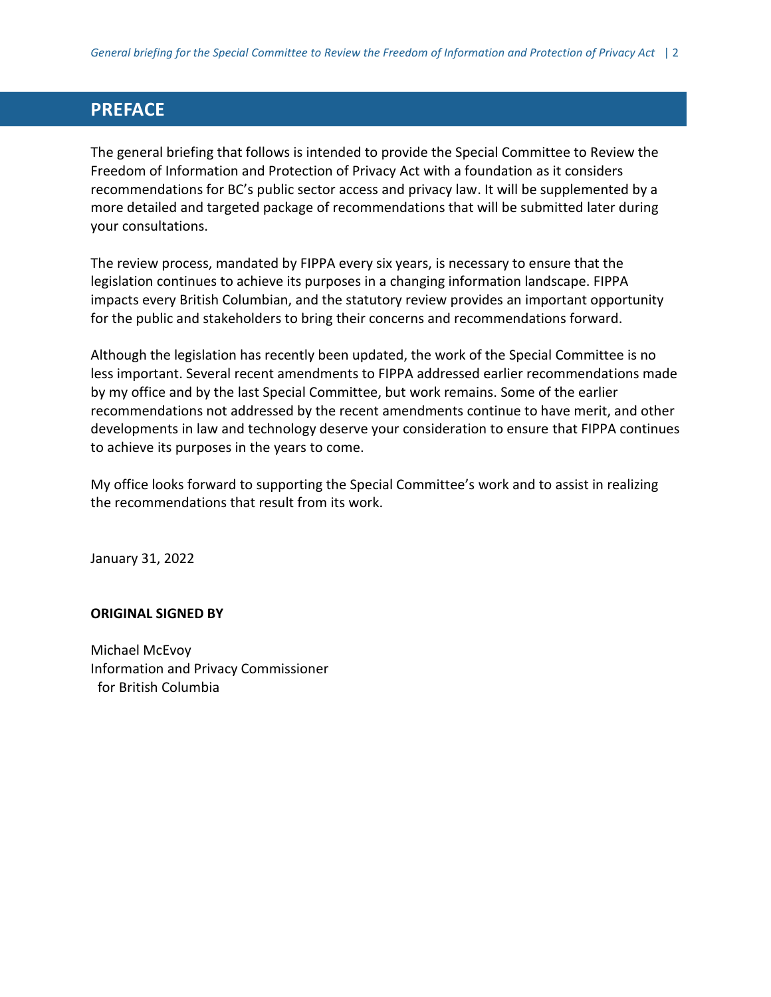## <span id="page-2-0"></span>**PREFACE**

The general briefing that follows is intended to provide the Special Committee to Review the Freedom of Information and Protection of Privacy Act with a foundation as it considers recommendations for BC's public sector access and privacy law. It will be supplemented by a more detailed and targeted package of recommendations that will be submitted later during your consultations.

The review process, mandated by FIPPA every six years, is necessary to ensure that the legislation continues to achieve its purposes in a changing information landscape. FIPPA impacts every British Columbian, and the statutory review provides an important opportunity for the public and stakeholders to bring their concerns and recommendations forward.

Although the legislation has recently been updated, the work of the Special Committee is no less important. Several recent amendments to FIPPA addressed earlier recommendations made by my office and by the last Special Committee, but work remains. Some of the earlier recommendations not addressed by the recent amendments continue to have merit, and other developments in law and technology deserve your consideration to ensure that FIPPA continues to achieve its purposes in the years to come.

My office looks forward to supporting the Special Committee's work and to assist in realizing the recommendations that result from its work.

January 31, 2022

#### **ORIGINAL SIGNED BY**

Michael McEvoy Information and Privacy Commissioner for British Columbia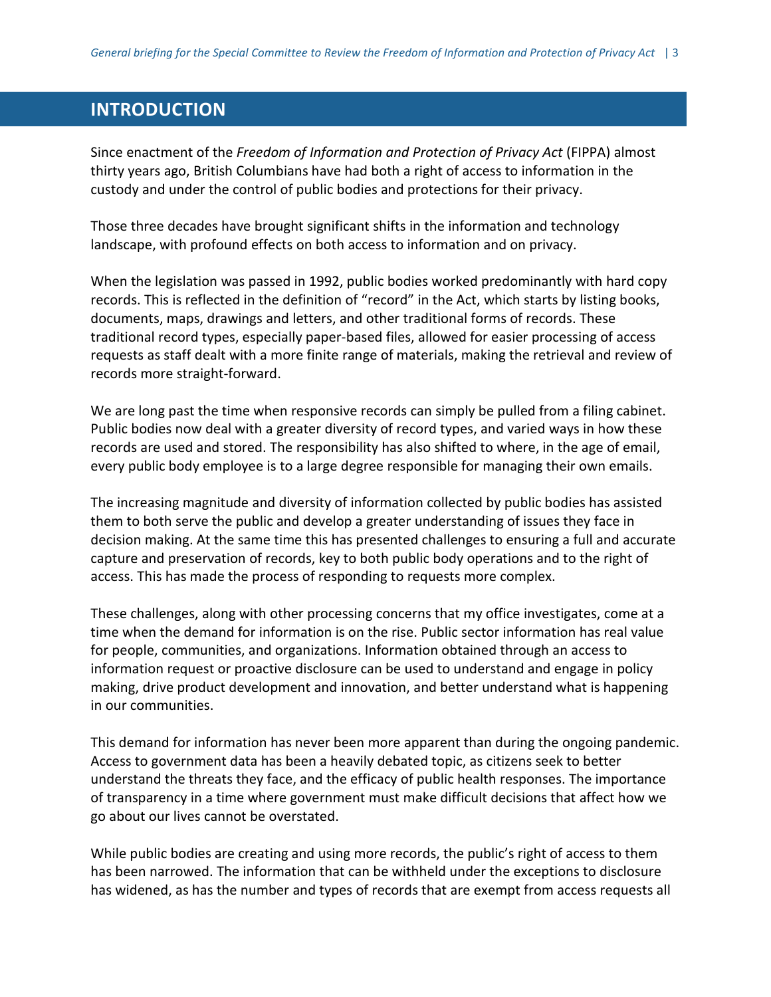## <span id="page-3-0"></span>**INTRODUCTION**

Since enactment of the *Freedom of Information and Protection of Privacy Act* (FIPPA) almost thirty years ago, British Columbians have had both a right of access to information in the custody and under the control of public bodies and protections for their privacy.

Those three decades have brought significant shifts in the information and technology landscape, with profound effects on both access to information and on privacy.

When the legislation was passed in 1992, public bodies worked predominantly with hard copy records. This is reflected in the definition of "record" in the Act, which starts by listing books, documents, maps, drawings and letters, and other traditional forms of records. These traditional record types, especially paper-based files, allowed for easier processing of access requests as staff dealt with a more finite range of materials, making the retrieval and review of records more straight-forward.

We are long past the time when responsive records can simply be pulled from a filing cabinet. Public bodies now deal with a greater diversity of record types, and varied ways in how these records are used and stored. The responsibility has also shifted to where, in the age of email, every public body employee is to a large degree responsible for managing their own emails.

The increasing magnitude and diversity of information collected by public bodies has assisted them to both serve the public and develop a greater understanding of issues they face in decision making. At the same time this has presented challenges to ensuring a full and accurate capture and preservation of records, key to both public body operations and to the right of access. This has made the process of responding to requests more complex.

These challenges, along with other processing concerns that my office investigates, come at a time when the demand for information is on the rise. Public sector information has real value for people, communities, and organizations. Information obtained through an access to information request or proactive disclosure can be used to understand and engage in policy making, drive product development and innovation, and better understand what is happening in our communities.

This demand for information has never been more apparent than during the ongoing pandemic. Access to government data has been a heavily debated topic, as citizens seek to better understand the threats they face, and the efficacy of public health responses. The importance of transparency in a time where government must make difficult decisions that affect how we go about our lives cannot be overstated.

While public bodies are creating and using more records, the public's right of access to them has been narrowed. The information that can be withheld under the exceptions to disclosure has widened, as has the number and types of records that are exempt from access requests all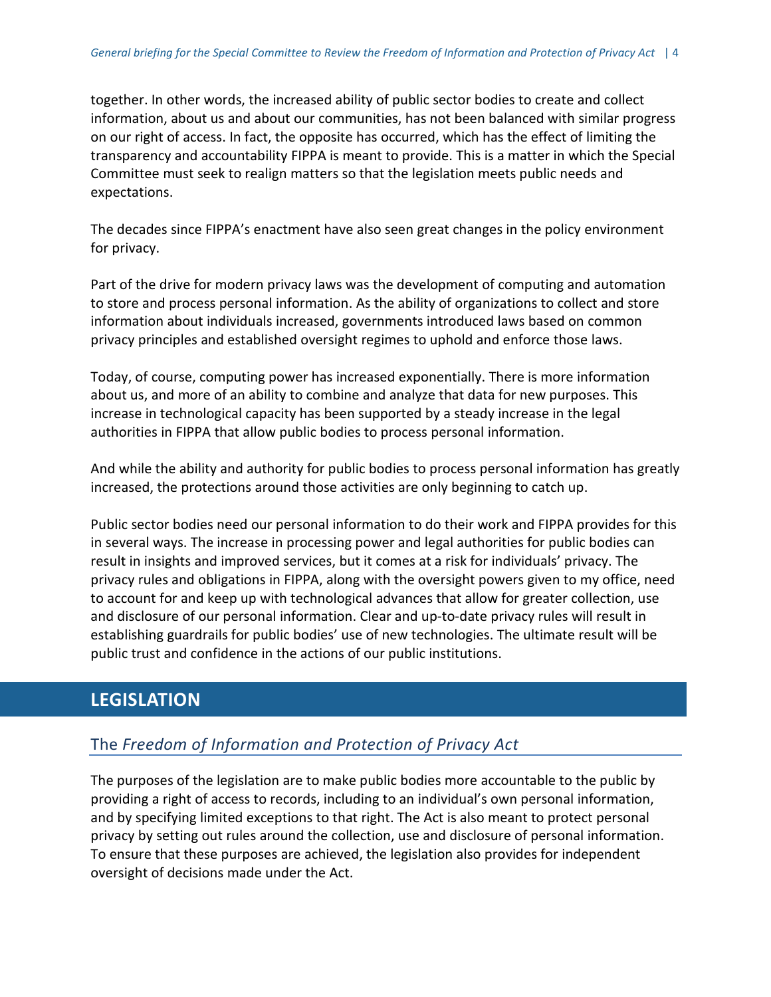together. In other words, the increased ability of public sector bodies to create and collect information, about us and about our communities, has not been balanced with similar progress on our right of access. In fact, the opposite has occurred, which has the effect of limiting the transparency and accountability FIPPA is meant to provide. This is a matter in which the Special Committee must seek to realign matters so that the legislation meets public needs and expectations.

The decades since FIPPA's enactment have also seen great changes in the policy environment for privacy.

Part of the drive for modern privacy laws was the development of computing and automation to store and process personal information. As the ability of organizations to collect and store information about individuals increased, governments introduced laws based on common privacy principles and established oversight regimes to uphold and enforce those laws.

Today, of course, computing power has increased exponentially. There is more information about us, and more of an ability to combine and analyze that data for new purposes. This increase in technological capacity has been supported by a steady increase in the legal authorities in FIPPA that allow public bodies to process personal information.

And while the ability and authority for public bodies to process personal information has greatly increased, the protections around those activities are only beginning to catch up.

Public sector bodies need our personal information to do their work and FIPPA provides for this in several ways. The increase in processing power and legal authorities for public bodies can result in insights and improved services, but it comes at a risk for individuals' privacy. The privacy rules and obligations in FIPPA, along with the oversight powers given to my office, need to account for and keep up with technological advances that allow for greater collection, use and disclosure of our personal information. Clear and up-to-date privacy rules will result in establishing guardrails for public bodies' use of new technologies. The ultimate result will be public trust and confidence in the actions of our public institutions.

# <span id="page-4-0"></span>**LEGISLATION**

## <span id="page-4-1"></span>The *Freedom of Information and Protection of Privacy Act*

The purposes of the legislation are to make public bodies more accountable to the public by providing a right of access to records, including to an individual's own personal information, and by specifying limited exceptions to that right. The Act is also meant to protect personal privacy by setting out rules around the collection, use and disclosure of personal information. To ensure that these purposes are achieved, the legislation also provides for independent oversight of decisions made under the Act.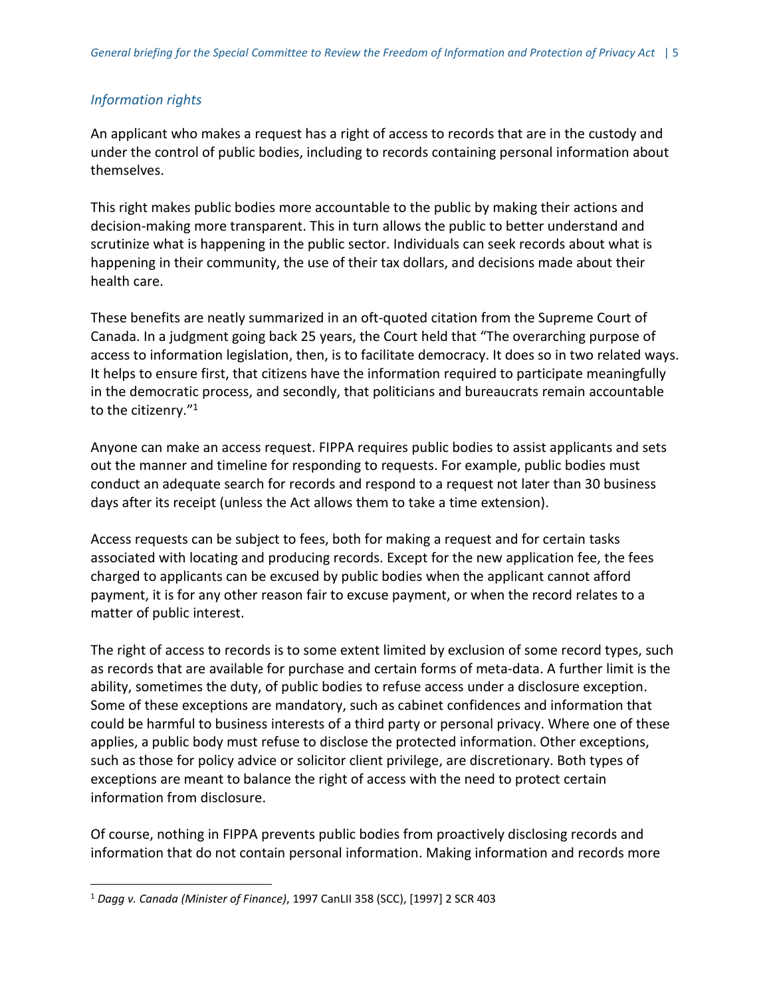## <span id="page-5-0"></span>*Information rights*

An applicant who makes a request has a right of access to records that are in the custody and under the control of public bodies, including to records containing personal information about themselves.

This right makes public bodies more accountable to the public by making their actions and decision-making more transparent. This in turn allows the public to better understand and scrutinize what is happening in the public sector. Individuals can seek records about what is happening in their community, the use of their tax dollars, and decisions made about their health care.

These benefits are neatly summarized in an oft-quoted citation from the Supreme Court of Canada. In a judgment going back 25 years, the Court held that "The overarching purpose of access to information legislation, then, is to facilitate democracy. It does so in two related ways. It helps to ensure first, that citizens have the information required to participate meaningfully in the democratic process, and secondly, that politicians and bureaucrats remain accountable to the citizenry."<sup>1</sup>

Anyone can make an access request. FIPPA requires public bodies to assist applicants and sets out the manner and timeline for responding to requests. For example, public bodies must conduct an adequate search for records and respond to a request not later than 30 business days after its receipt (unless the Act allows them to take a time extension).

Access requests can be subject to fees, both for making a request and for certain tasks associated with locating and producing records. Except for the new application fee, the fees charged to applicants can be excused by public bodies when the applicant cannot afford payment, it is for any other reason fair to excuse payment, or when the record relates to a matter of public interest.

The right of access to records is to some extent limited by exclusion of some record types, such as records that are available for purchase and certain forms of meta-data. A further limit is the ability, sometimes the duty, of public bodies to refuse access under a disclosure exception. Some of these exceptions are mandatory, such as cabinet confidences and information that could be harmful to business interests of a third party or personal privacy. Where one of these applies, a public body must refuse to disclose the protected information. Other exceptions, such as those for policy advice or solicitor client privilege, are discretionary. Both types of exceptions are meant to balance the right of access with the need to protect certain information from disclosure.

Of course, nothing in FIPPA prevents public bodies from proactively disclosing records and information that do not contain personal information. Making information and records more

 $\overline{a}$ 

<sup>1</sup> *Dagg v. Canada (Minister of Finance)*, 1997 CanLII 358 (SCC), [1997] 2 SCR 403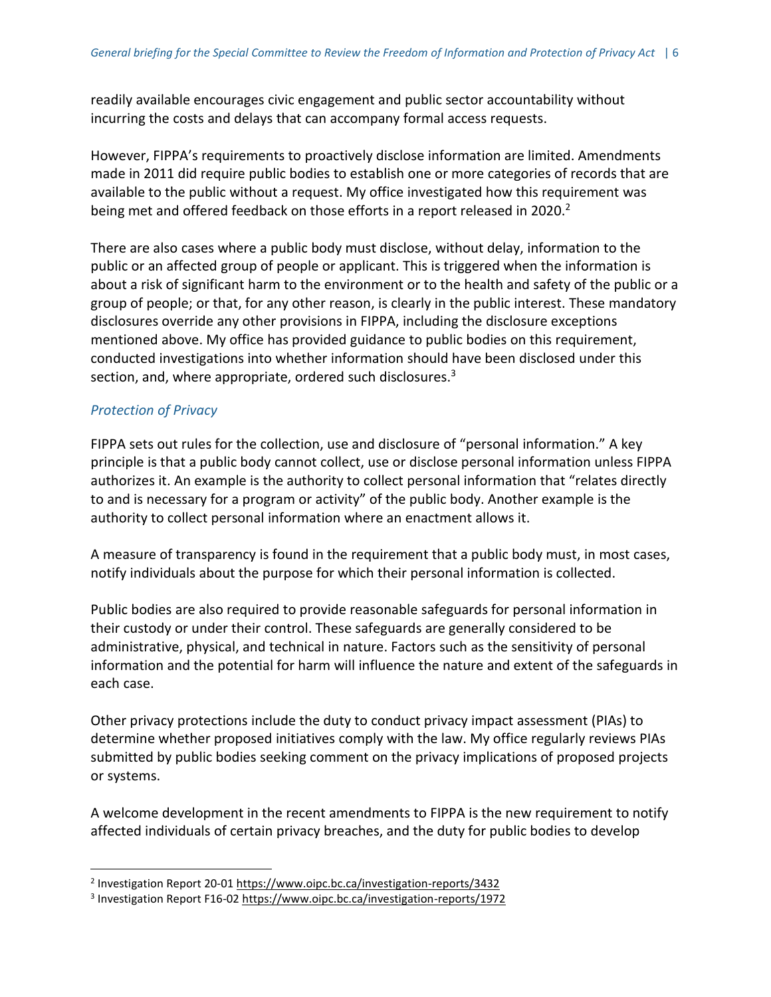readily available encourages civic engagement and public sector accountability without incurring the costs and delays that can accompany formal access requests.

However, FIPPA's requirements to proactively disclose information are limited. Amendments made in 2011 did require public bodies to establish one or more categories of records that are available to the public without a request. My office investigated how this requirement was being met and offered feedback on those efforts in a report released in 2020.<sup>2</sup>

There are also cases where a public body must disclose, without delay, information to the public or an affected group of people or applicant. This is triggered when the information is about a risk of significant harm to the environment or to the health and safety of the public or a group of people; or that, for any other reason, is clearly in the public interest. These mandatory disclosures override any other provisions in FIPPA, including the disclosure exceptions mentioned above. My office has provided guidance to public bodies on this requirement, conducted investigations into whether information should have been disclosed under this section, and, where appropriate, ordered such disclosures.<sup>3</sup>

## <span id="page-6-0"></span>*Protection of Privacy*

 $\overline{a}$ 

FIPPA sets out rules for the collection, use and disclosure of "personal information." A key principle is that a public body cannot collect, use or disclose personal information unless FIPPA authorizes it. An example is the authority to collect personal information that "relates directly to and is necessary for a program or activity" of the public body. Another example is the authority to collect personal information where an enactment allows it.

A measure of transparency is found in the requirement that a public body must, in most cases, notify individuals about the purpose for which their personal information is collected.

Public bodies are also required to provide reasonable safeguards for personal information in their custody or under their control. These safeguards are generally considered to be administrative, physical, and technical in nature. Factors such as the sensitivity of personal information and the potential for harm will influence the nature and extent of the safeguards in each case.

Other privacy protections include the duty to conduct privacy impact assessment (PIAs) to determine whether proposed initiatives comply with the law. My office regularly reviews PIAs submitted by public bodies seeking comment on the privacy implications of proposed projects or systems.

A welcome development in the recent amendments to FIPPA is the new requirement to notify affected individuals of certain privacy breaches, and the duty for public bodies to develop

<sup>&</sup>lt;sup>2</sup> Investigation Report 20-01 <https://www.oipc.bc.ca/investigation-reports/3432>

<sup>&</sup>lt;sup>3</sup> Investigation Report F16-02 <https://www.oipc.bc.ca/investigation-reports/1972>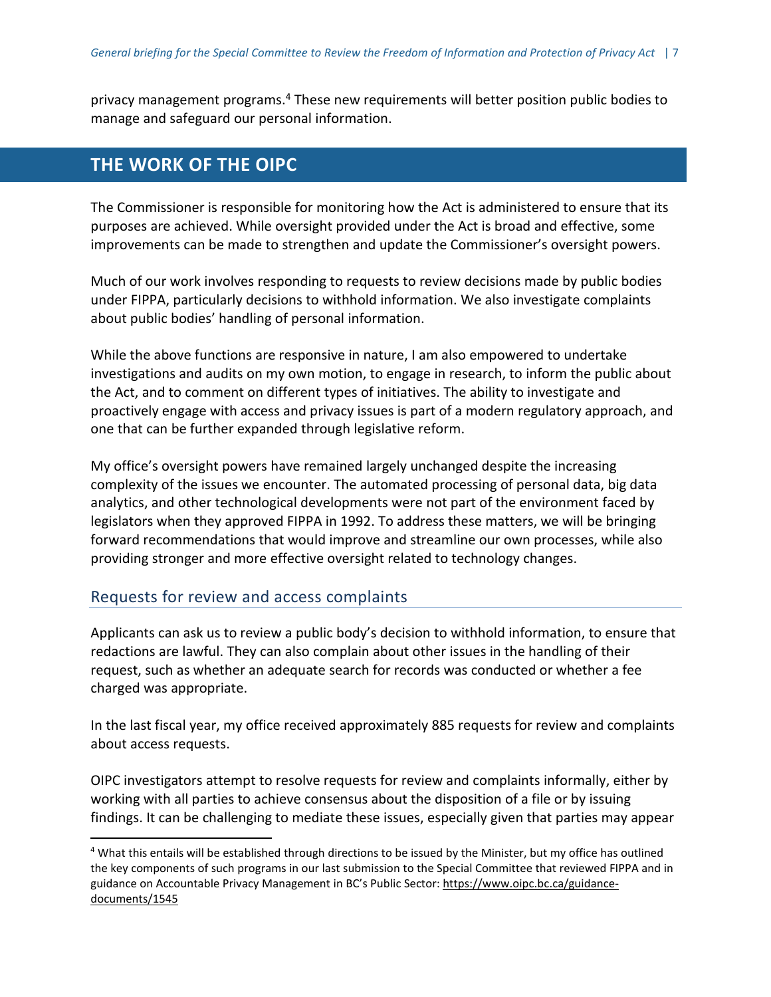privacy management programs.<sup>4</sup> These new requirements will better position public bodies to manage and safeguard our personal information.

## <span id="page-7-0"></span>**THE WORK OF THE OIPC**

The Commissioner is responsible for monitoring how the Act is administered to ensure that its purposes are achieved. While oversight provided under the Act is broad and effective, some improvements can be made to strengthen and update the Commissioner's oversight powers.

Much of our work involves responding to requests to review decisions made by public bodies under FIPPA, particularly decisions to withhold information. We also investigate complaints about public bodies' handling of personal information.

While the above functions are responsive in nature, I am also empowered to undertake investigations and audits on my own motion, to engage in research, to inform the public about the Act, and to comment on different types of initiatives. The ability to investigate and proactively engage with access and privacy issues is part of a modern regulatory approach, and one that can be further expanded through legislative reform.

My office's oversight powers have remained largely unchanged despite the increasing complexity of the issues we encounter. The automated processing of personal data, big data analytics, and other technological developments were not part of the environment faced by legislators when they approved FIPPA in 1992. To address these matters, we will be bringing forward recommendations that would improve and streamline our own processes, while also providing stronger and more effective oversight related to technology changes.

## <span id="page-7-1"></span>Requests for review and access complaints

 $\overline{a}$ 

Applicants can ask us to review a public body's decision to withhold information, to ensure that redactions are lawful. They can also complain about other issues in the handling of their request, such as whether an adequate search for records was conducted or whether a fee charged was appropriate.

In the last fiscal year, my office received approximately 885 requests for review and complaints about access requests.

OIPC investigators attempt to resolve requests for review and complaints informally, either by working with all parties to achieve consensus about the disposition of a file or by issuing findings. It can be challenging to mediate these issues, especially given that parties may appear

<sup>&</sup>lt;sup>4</sup> What this entails will be established through directions to be issued by the Minister, but my office has outlined the key components of such programs in our last submission to the Special Committee that reviewed FIPPA and in guidance on Accountable Privacy Management in BC's Public Sector: [https://www.oipc.bc.ca/guidance](https://www.oipc.bc.ca/guidance-documents/1545)[documents/1545](https://www.oipc.bc.ca/guidance-documents/1545)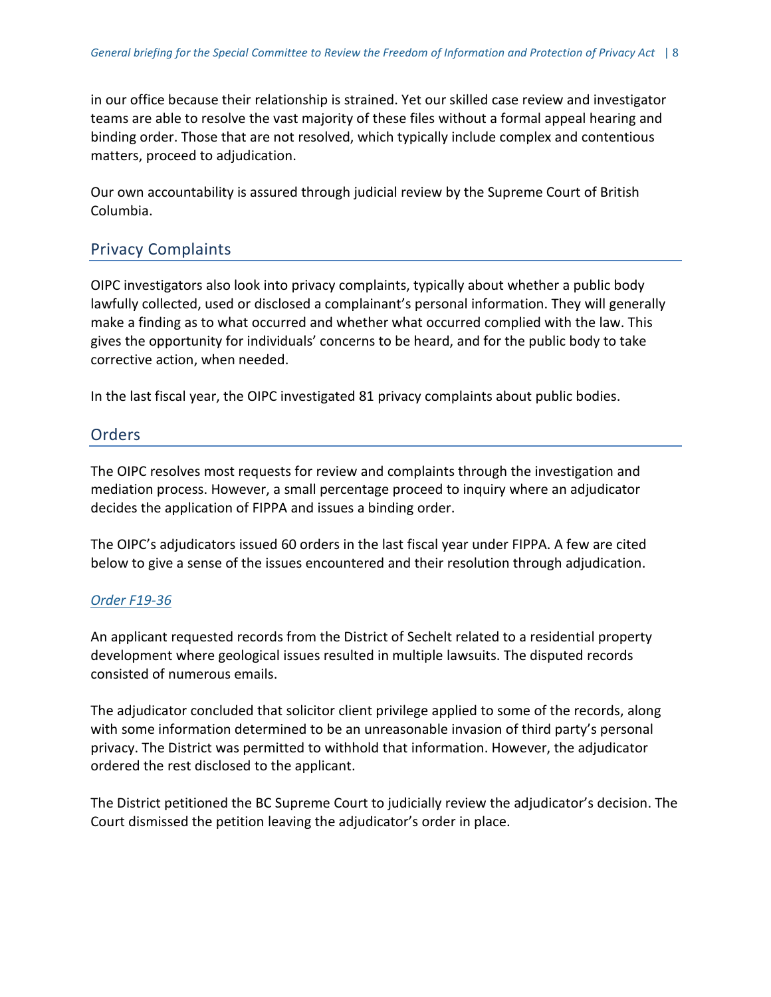in our office because their relationship is strained. Yet our skilled case review and investigator teams are able to resolve the vast majority of these files without a formal appeal hearing and binding order. Those that are not resolved, which typically include complex and contentious matters, proceed to adjudication.

Our own accountability is assured through judicial review by the Supreme Court of British Columbia.

## <span id="page-8-0"></span>Privacy Complaints

OIPC investigators also look into privacy complaints, typically about whether a public body lawfully collected, used or disclosed a complainant's personal information. They will generally make a finding as to what occurred and whether what occurred complied with the law. This gives the opportunity for individuals' concerns to be heard, and for the public body to take corrective action, when needed.

In the last fiscal year, the OIPC investigated 81 privacy complaints about public bodies.

## <span id="page-8-1"></span>Orders

The OIPC resolves most requests for review and complaints through the investigation and mediation process. However, a small percentage proceed to inquiry where an adjudicator decides the application of FIPPA and issues a binding order.

The OIPC's adjudicators issued 60 orders in the last fiscal year under FIPPA. A few are cited below to give a sense of the issues encountered and their resolution through adjudication.

#### *Order [F19-36](https://www.oipc.bc.ca/orders/2345)*

An applicant requested records from the District of Sechelt related to a residential property development where geological issues resulted in multiple lawsuits. The disputed records consisted of numerous emails.

The adjudicator concluded that solicitor client privilege applied to some of the records, along with some information determined to be an unreasonable invasion of third party's personal privacy. The District was permitted to withhold that information. However, the adjudicator ordered the rest disclosed to the applicant.

The District petitioned the BC Supreme Court to judicially review the adjudicator's decision. The Court dismissed the petition leaving the adjudicator's order in place.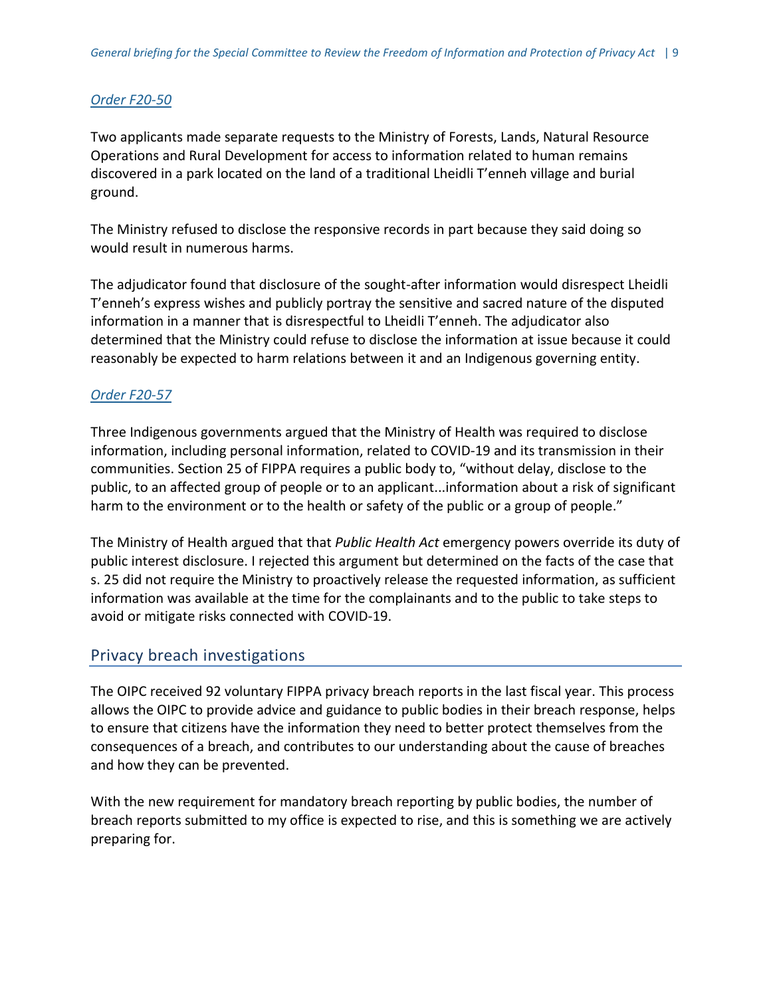## *Order [F20-50](https://www.oipc.bc.ca/orders/3488)*

Two applicants made separate requests to the Ministry of Forests, Lands, Natural Resource Operations and Rural Development for access to information related to human remains discovered in a park located on the land of a traditional Lheidli T'enneh village and burial ground.

The Ministry refused to disclose the responsive records in part because they said doing so would result in numerous harms.

The adjudicator found that disclosure of the sought-after information would disrespect Lheidli T'enneh's express wishes and publicly portray the sensitive and sacred nature of the disputed information in a manner that is disrespectful to Lheidli T'enneh. The adjudicator also determined that the Ministry could refuse to disclose the information at issue because it could reasonably be expected to harm relations between it and an Indigenous governing entity.

## *Order [F20-57](https://www.oipc.bc.ca/orders/3494)*

Three Indigenous governments argued that the Ministry of Health was required to disclose information, including personal information, related to COVID-19 and its transmission in their communities. Section 25 of FIPPA requires a public body to, "without delay, disclose to the public, to an affected group of people or to an applicant...information about a risk of significant harm to the environment or to the health or safety of the public or a group of people."

The Ministry of Health argued that that *Public Health Act* emergency powers override its duty of public interest disclosure. I rejected this argument but determined on the facts of the case that s. 25 did not require the Ministry to proactively release the requested information, as sufficient information was available at the time for the complainants and to the public to take steps to avoid or mitigate risks connected with COVID-19.

## <span id="page-9-0"></span>Privacy breach investigations

The OIPC received 92 voluntary FIPPA privacy breach reports in the last fiscal year. This process allows the OIPC to provide advice and guidance to public bodies in their breach response, helps to ensure that citizens have the information they need to better protect themselves from the consequences of a breach, and contributes to our understanding about the cause of breaches and how they can be prevented.

With the new requirement for mandatory breach reporting by public bodies, the number of breach reports submitted to my office is expected to rise, and this is something we are actively preparing for.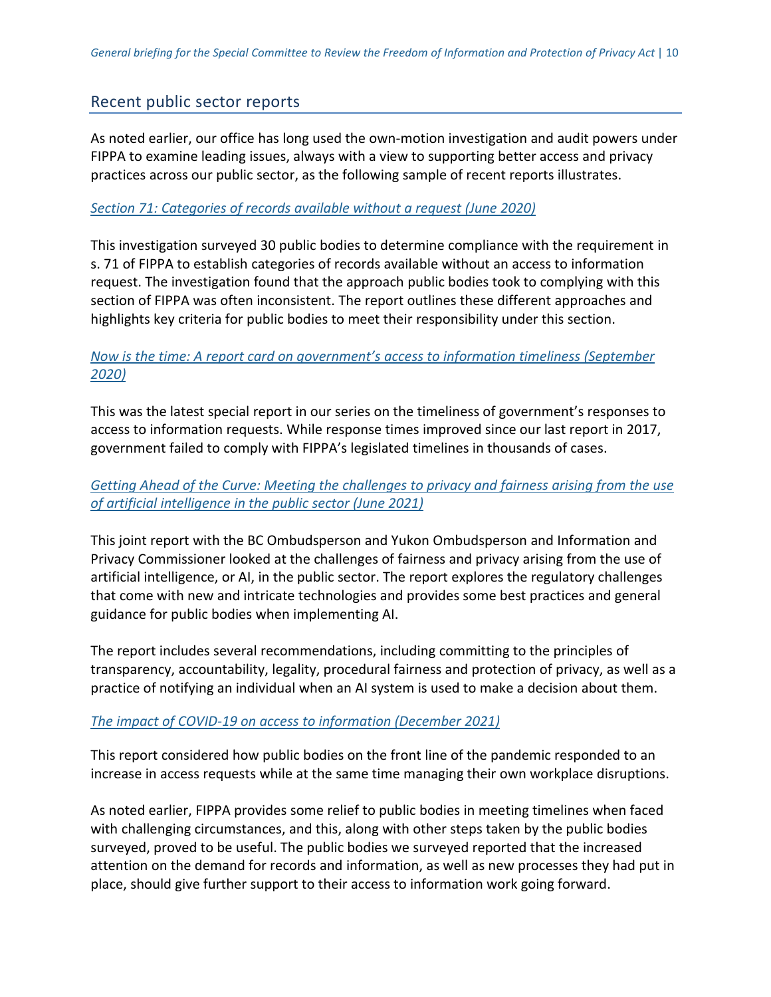## <span id="page-10-0"></span>Recent public sector reports

As noted earlier, our office has long used the own-motion investigation and audit powers under FIPPA to examine leading issues, always with a view to supporting better access and privacy practices across our public sector, as the following sample of recent reports illustrates.

#### *Section 71: [Categories](https://www.oipc.bc.ca/investigation-reports/3432) of records available without a request (June 2020)*

This investigation surveyed 30 public bodies to determine compliance with the requirement in s. 71 of FIPPA to establish categories of records available without an access to information request. The investigation found that the approach public bodies took to complying with this section of FIPPA was often inconsistent. The report outlines these different approaches and highlights key criteria for public bodies to meet their responsibility under this section.

## *Now is the time: A report card on [government's](https://www.oipc.bc.ca/special-reports/3459) access to information timeliness (September [2020\)](https://www.oipc.bc.ca/special-reports/3459)*

This was the latest special report in our series on the timeliness of government's responses to access to information requests. While response times improved since our last report in 2017, government failed to comply with FIPPA's legislated timelines in thousands of cases.

## *Getting Ahead of the Curve: Meeting the [challenges](https://www.oipc.bc.ca/special-reports/3546) to privacy and fairness arising from the use of artificial [intelligence](https://www.oipc.bc.ca/special-reports/3546) in the public sector (June 2021)*

This joint report with the BC Ombudsperson and Yukon Ombudsperson and Information and Privacy Commissioner looked at the challenges of fairness and privacy arising from the use of artificial intelligence, or AI, in the public sector. The report explores the regulatory challenges that come with new and intricate technologies and provides some best practices and general guidance for public bodies when implementing AI.

The report includes several recommendations, including committing to the principles of transparency, accountability, legality, procedural fairness and protection of privacy, as well as a practice of notifying an individual when an AI system is used to make a decision about them.

## *The impact of COVID-19 on access to [information](https://www.oipc.bc.ca/special-reports/3613) (December 2021)*

This report considered how public bodies on the front line of the pandemic responded to an increase in access requests while at the same time managing their own workplace disruptions.

As noted earlier, FIPPA provides some relief to public bodies in meeting timelines when faced with challenging circumstances, and this, along with other steps taken by the public bodies surveyed, proved to be useful. The public bodies we surveyed reported that the increased attention on the demand for records and information, as well as new processes they had put in place, should give further support to their access to information work going forward.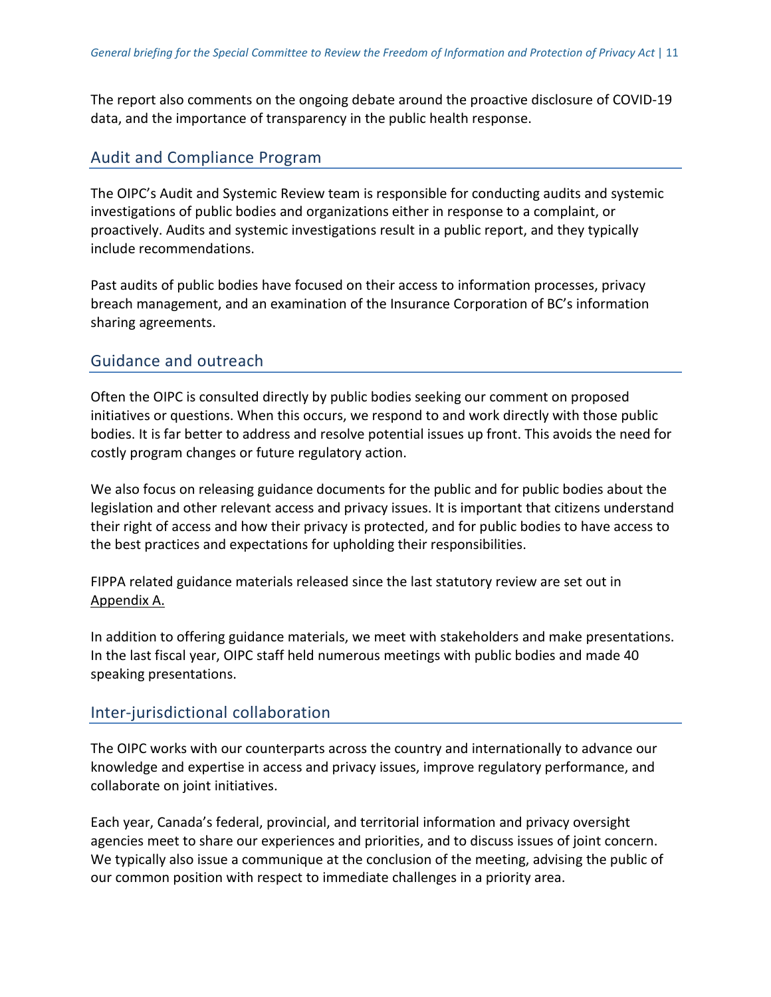The report also comments on the ongoing debate around the proactive disclosure of COVID-19 data, and the importance of transparency in the public health response.

## <span id="page-11-0"></span>Audit and Compliance Program

The OIPC's Audit and Systemic Review team is responsible for conducting audits and systemic investigations of public bodies and organizations either in response to a complaint, or proactively. Audits and systemic investigations result in a public report, and they typically include recommendations.

Past audits of public bodies have focused on their access to information processes, privacy breach management, and an examination of the Insurance Corporation of BC's information sharing agreements.

## Guidance and outreach

Often the OIPC is consulted directly by public bodies seeking our comment on proposed initiatives or questions. When this occurs, we respond to and work directly with those public bodies. It is far better to address and resolve potential issues up front. This avoids the need for costly program changes or future regulatory action.

We also focus on releasing guidance documents for the public and for public bodies about the legislation and other relevant access and privacy issues. It is important that citizens understand their right of access and how their privacy is protected, and for public bodies to have access to the best practices and expectations for upholding their responsibilities.

FIPPA related guidance materials released since the last statutory review are set out in [Appendix](#page-15-1) A.

In addition to offering guidance materials, we meet with stakeholders and make presentations. In the last fiscal year, OIPC staff held numerous meetings with public bodies and made 40 speaking presentations.

## Inter-jurisdictional collaboration

The OIPC works with our counterparts across the country and internationally to advance our knowledge and expertise in access and privacy issues, improve regulatory performance, and collaborate on joint initiatives.

Each year, Canada's federal, provincial, and territorial information and privacy oversight agencies meet to share our experiences and priorities, and to discuss issues of joint concern. We typically also issue a communique at the conclusion of the meeting, advising the public of our common position with respect to immediate challenges in a priority area.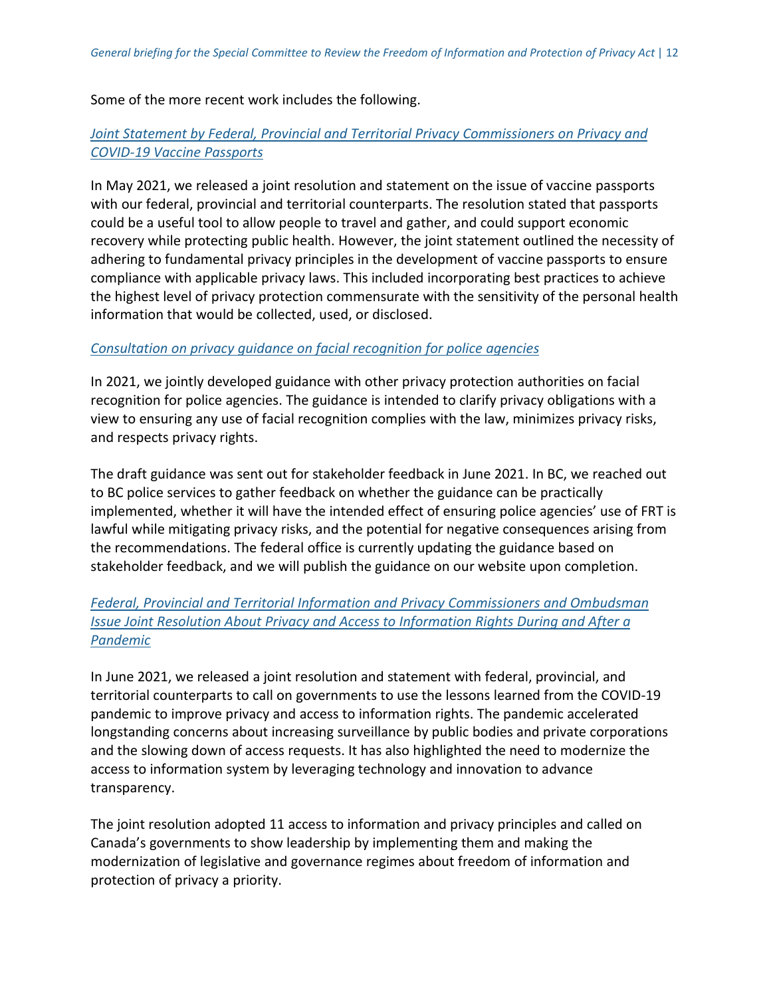Some of the more recent work includes the following.

#### *Joint Statement by Federal, Provincial and Territorial Privacy [Commissioners](https://www.oipc.bc.ca/news-releases/3538) on Privacy and [COVID-19](https://www.oipc.bc.ca/news-releases/3538) Vaccine Passports*

In May 2021, we released a joint resolution and statement on the issue of vaccine passports with our federal, provincial and territorial counterparts. The resolution stated that passports could be a useful tool to allow people to travel and gather, and could support economic recovery while protecting public health. However, the joint statement outlined the necessity of adhering to fundamental privacy principles in the development of vaccine passports to ensure compliance with applicable privacy laws. This included incorporating best practices to achieve the highest level of privacy protection commensurate with the sensitivity of the personal health information that would be collected, used, or disclosed.

#### *[Consultation](https://www.priv.gc.ca/en/about-the-opc/what-we-do/consultations/gd_frt_202106/) on privacy guidance on facial recognition for police agencies*

In 2021, we jointly developed guidance with other privacy protection authorities on facial recognition for police agencies. The guidance is intended to clarify privacy obligations with a view to ensuring any use of facial recognition complies with the law, minimizes privacy risks, and respects privacy rights.

The draft [guidance](https://www.priv.gc.ca/en/about-the-opc/what-we-do/consultations/gd_frt_202106/) was sent out for stakeholder feedback in June 2021. In BC, we reached out to BC police services to gather feedback on whether the guidance can be practically implemented, whether it will have the intended effect of ensuring police agencies' use of FRT is lawful while mitigating privacy risks, and the potential for negative consequences arising from the recommendations. The federal office is currently updating the [guidance](https://www.priv.gc.ca/en/about-the-opc/what-we-do/consultations/gd_frt_202106/) based on stakeholder feedback, and we will publish the guidance on our website upon completion.

## *Federal, Provincial and Territorial Information and Privacy [Commissioners](https://www.oipc.bc.ca/news-releases/3543) and Ombudsman Issue Joint Resolution About Privacy and Access to [Information](https://www.oipc.bc.ca/news-releases/3543) Rights During and After a [Pandemic](https://www.oipc.bc.ca/news-releases/3543)*

In June 2021, we released a joint resolution and statement with federal, provincial, and territorial counterparts to call on governments to use the lessons learned from the COVID-19 pandemic to improve privacy and access to information rights. The pandemic accelerated longstanding concerns about increasing surveillance by public bodies and private corporations and the slowing down of access requests. It has also highlighted the need to modernize the access to information system by leveraging technology and innovation to advance transparency.

The joint resolution adopted 11 access to information and privacy principles and called on Canada's governments to show leadership by implementing them and making the modernization of legislative and governance regimes about freedom of information and protection of privacy a priority.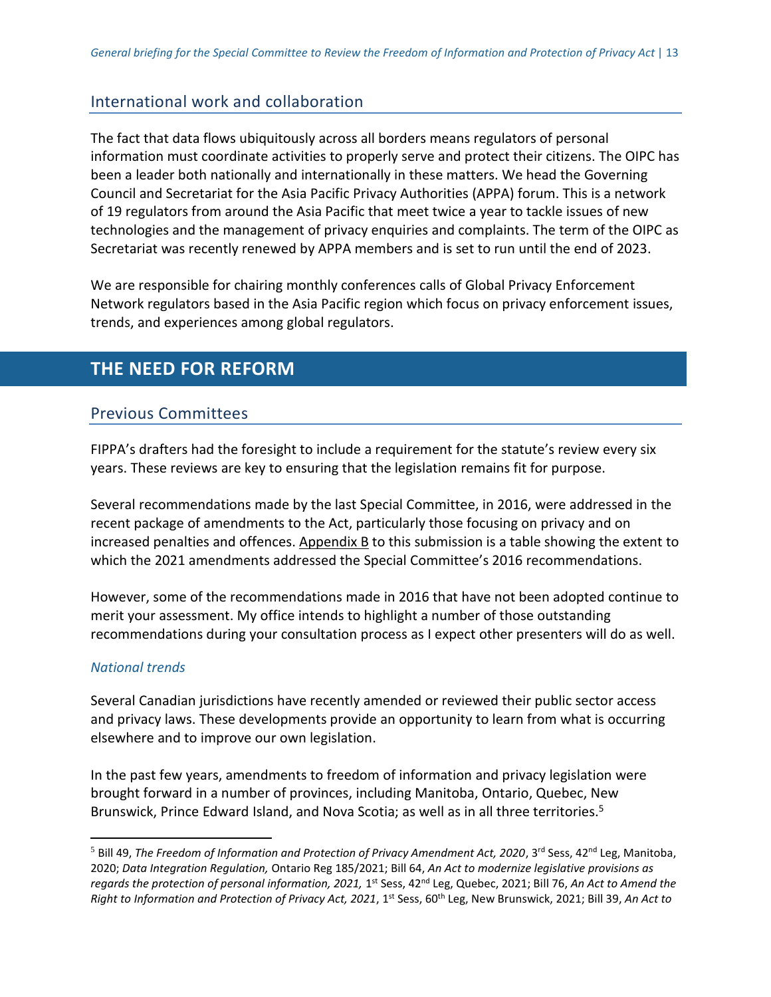## [International](https://www.oipc.bc.ca/news-releases/3543) work and collaboration

The fact that data flows ubiquitously across all borders means regulators of personal information must coordinate activities to properly serve and protect their citizens. The OIPC has been a leader both nationally and internationally in these matters. We head the Governing Council and Secretariat for the Asia Pacific Privacy Authorities (APPA) forum. This is a network of 19 regulators from around the Asia Pacific that meet twice a year to tackle issues of new technologies and the management of privacy enquiries and complaints. The term of the OIPC as Secretariat was recently renewed by APPA members and is set to run until the end of 2023.

We are responsible for chairing monthly conferences calls of Global Privacy Enforcement Network regulators based in the Asia Pacific region which focus on privacy enforcement issues, trends, and experiences among global regulators.

# <span id="page-13-0"></span>**THE NEED FOR REFORM**

## <span id="page-13-1"></span>Previous Committees

FIPPA's drafters had the foresight to include a requirement for the statute's review every six years. These reviews are key to ensuring that the legislation remains fit for purpose.

Several recommendations made by the last Special Committee, in 2016, were addressed in the recent package of amendments to the Act, particularly those focusing on privacy and on increased penalties and offences. [Appendix](#page-17-0) B to this submission is a table showing the extent to which the 2021 amendments addressed the Special Committee's 2016 recommendations.

However, some of the recommendations made in 2016 that have not been adopted continue to merit your assessment. My office intends to highlight a number of those outstanding recommendations during your consultation process as I expect other presenters will do as well.

## <span id="page-13-2"></span>*National trends*

 $\overline{a}$ 

Several Canadian jurisdictions have recently amended or reviewed their public sector access and privacy laws. These developments provide an opportunity to learn from what is occurring elsewhere and to improve our own legislation.

In the past few years, amendments to freedom of information and privacy legislation were brought forward in a number of provinces, including Manitoba, Ontario, Quebec, New Brunswick, Prince Edward Island, and Nova Scotia; as well as in all three territories.<sup>5</sup>

<sup>&</sup>lt;sup>5</sup> Bill 49, *The Freedom of Information and Protection of Privacy Amendment Act, 2020*, 3<sup>rd</sup> Sess, 42<sup>nd</sup> Leg, Manitoba, 2020; *Data Integration Regulation,* Ontario Reg 185/2021; Bill 64, *An Act to modernize legislative provisions as*  regards the protection of personal information, 2021, 1<sup>st</sup> Sess, 42<sup>nd</sup> Leg, Quebec, 2021; Bill 76, An Act to Amend the *Right to Information and Protection of Privacy Act, 2021*, 1st Sess, 60th Leg, New Brunswick, 2021; Bill 39, *An Act to*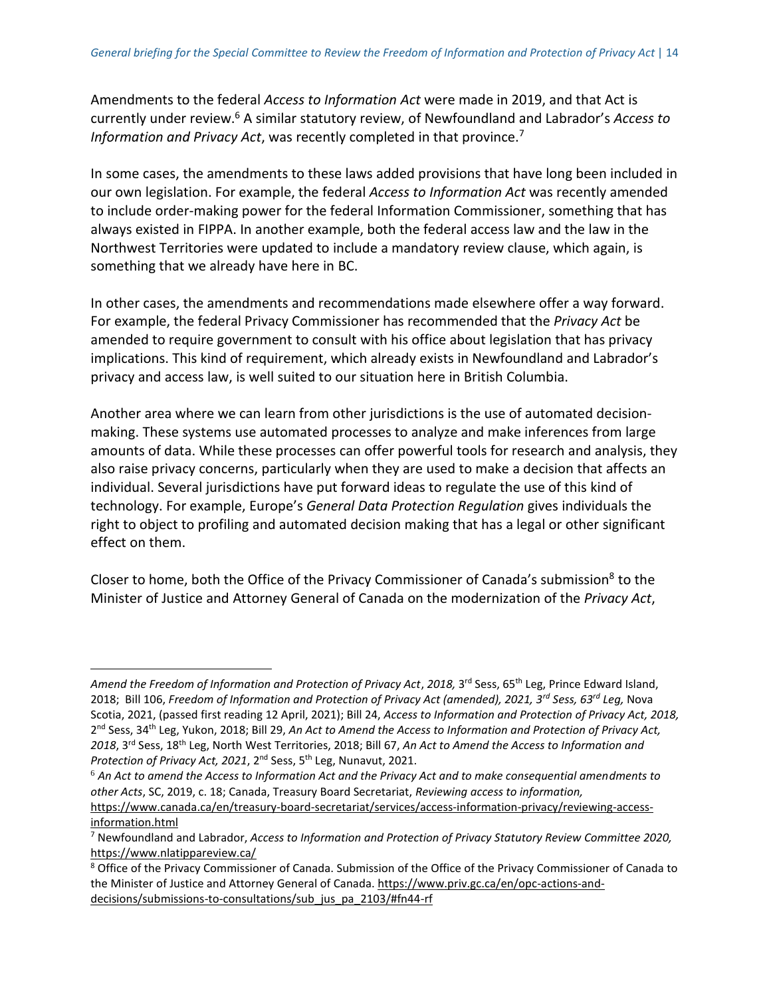Amendments to the federal *Access to Information Act* were made in 2019, and that Act is currently under review.<sup>6</sup> A similar statutory review, of Newfoundland and Labrador's *Access to Information and Privacy Act*, was recently completed in that province.<sup>7</sup>

In some cases, the amendments to these laws added provisions that have long been included in our own legislation. For example, the federal *Access to Information Act* was recently amended to include order-making power for the federal Information Commissioner, something that has always existed in FIPPA. In another example, both the federal access law and the law in the Northwest Territories were updated to include a mandatory review clause, which again, is something that we already have here in BC.

In other cases, the amendments and recommendations made elsewhere offer a way forward. For example, the federal Privacy Commissioner has recommended that the *Privacy Act* be amended to require government to consult with his office about legislation that has privacy implications. This kind of requirement, which already exists in Newfoundland and Labrador's privacy and access law, is well suited to our situation here in British Columbia.

Another area where we can learn from other jurisdictions is the use of automated decisionmaking. These systems use automated processes to analyze and make inferences from large amounts of data. While these processes can offer powerful tools for research and analysis, they also raise privacy concerns, particularly when they are used to make a decision that affects an individual. Several jurisdictions have put forward ideas to regulate the use of this kind of technology. For example, Europe's *General Data Protection Regulation* gives individuals the right to object to profiling and automated decision making that has a legal or other significant effect on them.

Closer to home, both the Office of the Privacy Commissioner of Canada's submission<sup>8</sup> to the Minister of Justice and Attorney General of Canada on the modernization of the *Privacy Act*,

 $\overline{a}$ 

<sup>6</sup> *An Act to amend the Access to Information Act and the Privacy Act and to make consequential amendments to other Acts*, SC, 2019, c. 18; Canada, Treasury Board Secretariat, *Reviewing access to information,*  [https://www.canada.ca/en/treasury-board-secretariat/services/access-information-privacy/reviewing-access-](https://www.canada.ca/en/treasury-board-secretariat/services/access-information-privacy/reviewing-access-information.html)

Amend the Freedom of Information and Protection of Privacy Act, 2018, 3<sup>rd</sup> Sess, 65<sup>th</sup> Leg, Prince Edward Island, 2018; Bill 106, *Freedom of Information and Protection of Privacy Act (amended), 2021, 3rd Sess, 63rd Leg,* Nova Scotia, 2021, (passed first reading 12 April, 2021); Bill 24, *Access to Information and Protection of Privacy Act, 2018,* 2<sup>nd</sup> Sess, 34<sup>th</sup> Leg, Yukon, 2018; Bill 29, An Act to Amend the Access to Information and Protection of Privacy Act, *2018*, 3rd Sess, 18th Leg, North West Territories, 2018; Bill 67, *An Act to Amend the Access to Information and Protection of Privacy Act, 2021*, 2nd Sess, 5th Leg, Nunavut, 2021.

[information.html](https://www.canada.ca/en/treasury-board-secretariat/services/access-information-privacy/reviewing-access-information.html) <sup>7</sup> Newfoundland and Labrador, *Access to Information and Protection of Privacy Statutory Review Committee 2020,* <https://www.nlatippareview.ca/>

<sup>&</sup>lt;sup>8</sup> Office of the Privacy Commissioner of Canada. Submission of the Office of the Privacy Commissioner of Canada to the Minister of Justice and Attorney General of Canada. [https://www.priv.gc.ca/en/opc-actions-and](https://www.priv.gc.ca/en/opc-actions-and-decisions/submissions-to-consultations/sub_jus_pa_2103/#fn44-rf)[decisions/submissions-to-consultations/sub\\_jus\\_pa\\_2103/#fn44-rf](https://www.priv.gc.ca/en/opc-actions-and-decisions/submissions-to-consultations/sub_jus_pa_2103/#fn44-rf)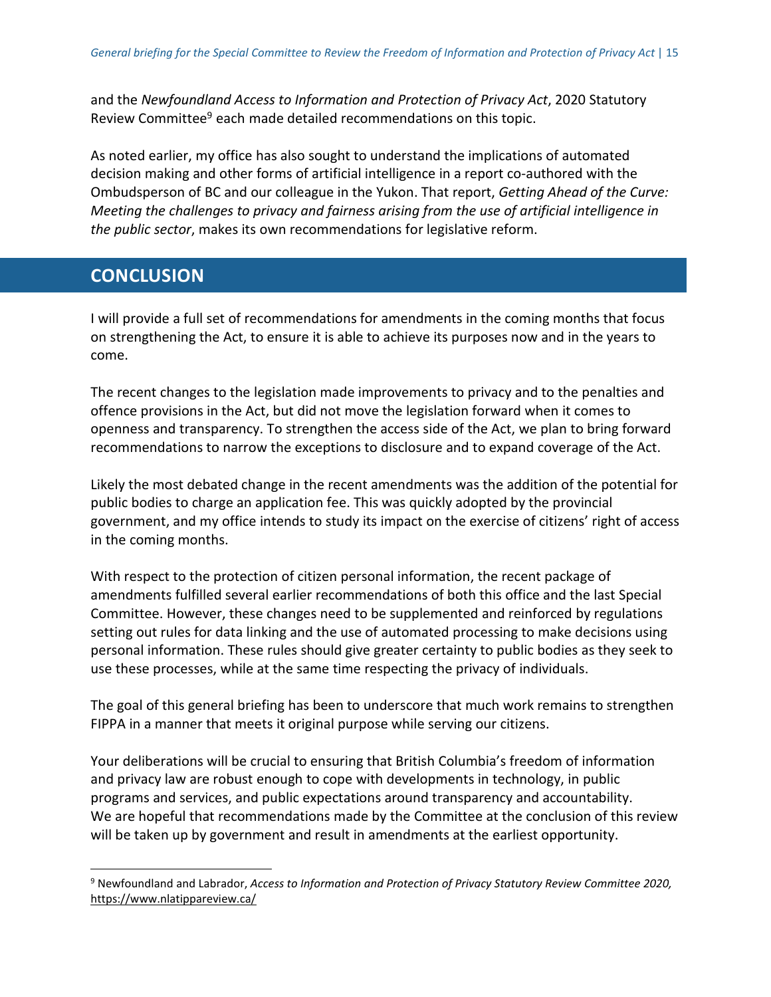and the *Newfoundland Access to Information and Protection of Privacy Act*, 2020 Statutory Review Committee<sup>9</sup> each made detailed recommendations on this topic.

As noted earlier, my office has also sought to understand the implications of automated decision making and other forms of artificial intelligence in a report co-authored with the Ombudsperson of BC and our colleague in the Yukon. That report, *Getting Ahead of the Curve: Meeting the challenges to privacy and fairness arising from the use of artificial intelligence in the public sector*, makes its own recommendations for legislative reform.

# <span id="page-15-0"></span>**CONCLUSION**

<span id="page-15-1"></span> $\overline{a}$ 

I will provide a full set of recommendations for amendments in the coming months that focus on strengthening the Act, to ensure it is able to achieve its purposes now and in the years to come.

The recent changes to the legislation made improvements to privacy and to the penalties and offence provisions in the Act, but did not move the legislation forward when it comes to openness and transparency. To strengthen the access side of the Act, we plan to bring forward recommendations to narrow the exceptions to disclosure and to expand coverage of the Act.

Likely the most debated change in the recent amendments was the addition of the potential for public bodies to charge an application fee. This was quickly adopted by the provincial government, and my office intends to study its impact on the exercise of citizens' right of access in the coming months.

With respect to the protection of citizen personal information, the recent package of amendments fulfilled several earlier recommendations of both this office and the last Special Committee. However, these changes need to be supplemented and reinforced by regulations setting out rules for data linking and the use of automated processing to make decisions using personal information. These rules should give greater certainty to public bodies as they seek to use these processes, while at the same time respecting the privacy of individuals.

The goal of this general briefing has been to underscore that much work remains to strengthen FIPPA in a manner that meets it original purpose while serving our citizens.

Your deliberations will be crucial to ensuring that British Columbia's freedom of information and privacy law are robust enough to cope with developments in technology, in public programs and services, and public expectations around transparency and accountability. We are hopeful that recommendations made by the Committee at the conclusion of this review will be taken up by government and result in amendments at the earliest opportunity.

<sup>9</sup> Newfoundland and Labrador, *Access to Information and Protection of Privacy Statutory Review Committee 2020,* <https://www.nlatippareview.ca/>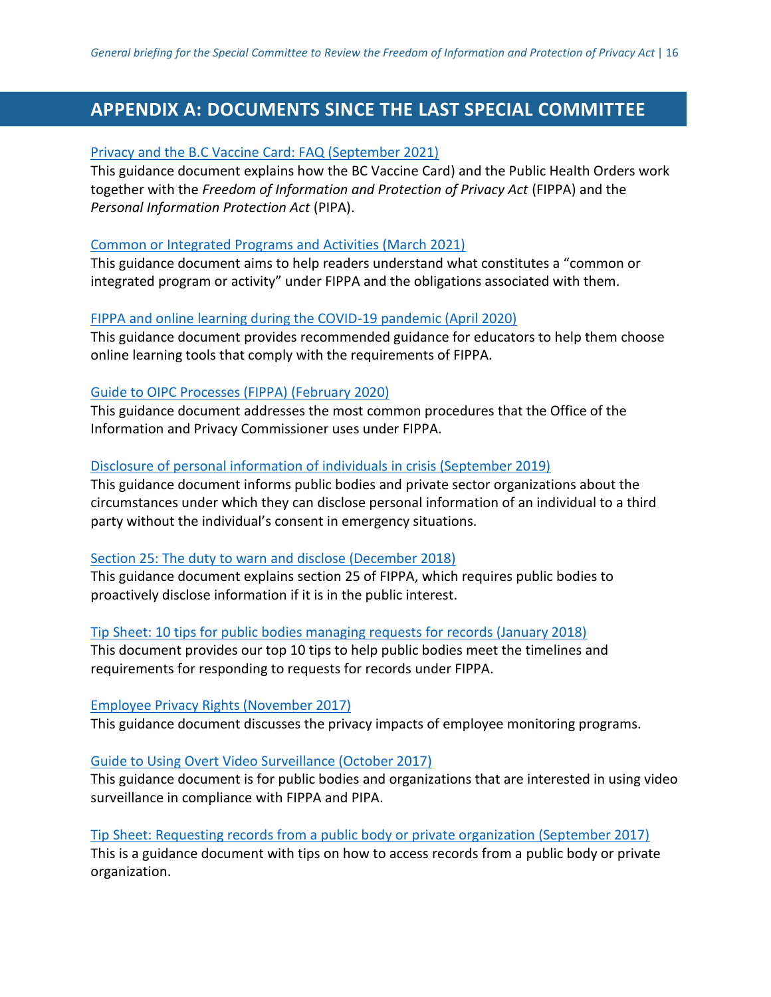# <span id="page-16-0"></span>**APPENDIX A: DOCUMENTS SINCE THE LAST SPECIAL COMMITTEE**

#### [Privacy and the B.C Vaccine Card: FAQ \(September 2021\)](https://www.oipc.bc.ca/guidance-documents/3577)

This guidance document explains how the BC Vaccine Card) and the Public Health Orders work together with the *Freedom of Information and Protection of Privacy Act* (FIPPA) and the *Personal Information Protection Act* (PIPA).

#### [Common or Integrated Programs and Activities \(March 2021\)](https://www.oipc.bc.ca/guidance-documents/3516)

This guidance document aims to help readers understand what constitutes a "common or integrated program or activity" under FIPPA and the obligations associated with them.

#### [FIPPA and online learning during the COVID-19 pandemic \(April 2020\)](https://www.oipc.bc.ca/guidance-documents/2402)

This guidance document provides recommended guidance for educators to help them choose online learning tools that comply with the requirements of FIPPA.

#### [Guide to OIPC Processes \(FIPPA\) \(February 2020\)](https://www.oipc.bc.ca/guidance-documents/1599)

This guidance document addresses the most common procedures that the Office of the Information and Privacy Commissioner uses under FIPPA.

#### [Disclosure of personal information of individuals in crisis \(September 2019\)](https://www.oipc.bc.ca/guidance-documents/2336)

This guidance document informs public bodies and private sector organizations about the circumstances under which they can disclose personal information of an individual to a third party without the individual's consent in emergency situations.

#### [Section 25: The duty to warn and disclose \(December 2018\)](https://www.oipc.bc.ca/guidance-documents/2265)

This guidance document explains section 25 of FIPPA, which requires public bodies to proactively disclose information if it is in the public interest.

#### [Tip Sheet: 10 tips for public bodies managing requests for records \(January 2018\)](https://www.oipc.bc.ca/guidance-documents/2120)

This document provides our top 10 tips to help public bodies meet the timelines and requirements for responding to requests for records under FIPPA.

#### [Employee Privacy Rights \(November 2017\)](https://www.oipc.bc.ca/guidance-documents/2098)

This guidance document discusses the privacy impacts of employee monitoring programs.

## [Guide to Using Overt Video Surveillance \(October 2017\)](https://www.oipc.bc.ca/guidance-documents/2006)

This guidance document is for public bodies and organizations that are interested in using video surveillance in compliance with FIPPA and PIPA.

## [Tip Sheet: Requesting records from a public body or private organization \(September 2017\)](https://www.oipc.bc.ca/guidance-documents/2073)

This is a guidance document with tips on how to access records from a public body or private organization.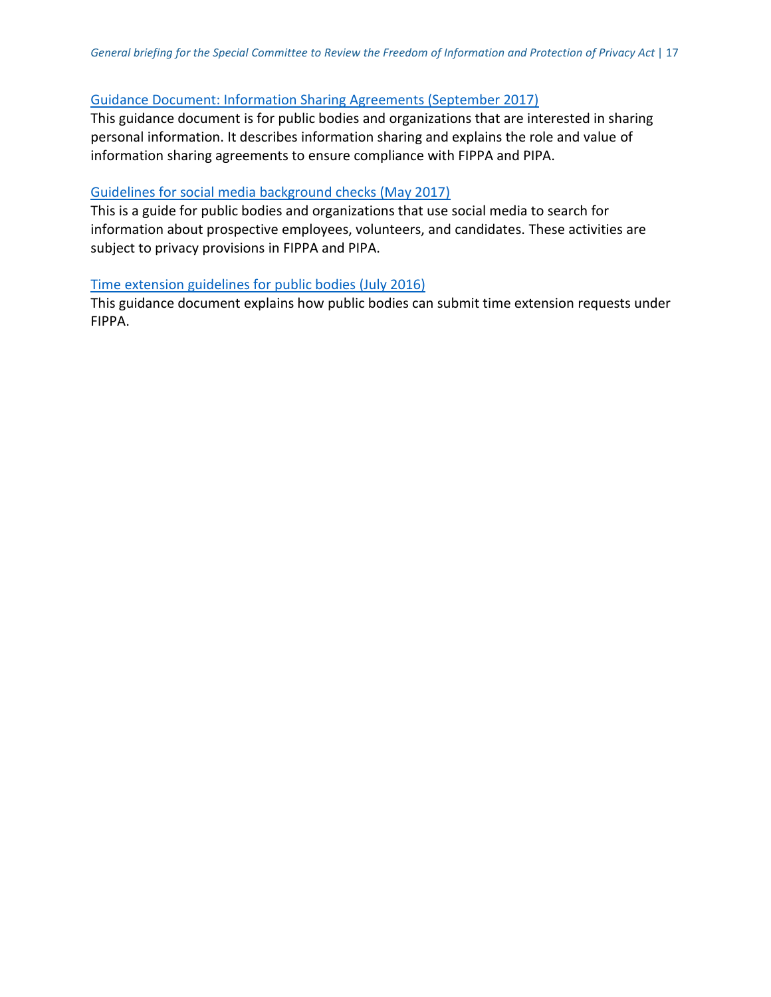#### [Guidance Document: Information Sharing Agreements \(September 2017\)](https://www.oipc.bc.ca/guidance-documents/2066)

This guidance document is for public bodies and organizations that are interested in sharing personal information. It describes information sharing and explains the role and value of information sharing agreements to ensure compliance with FIPPA and PIPA.

#### [Guidelines for social media background checks \(May 2017\)](https://www.oipc.bc.ca/guidance-documents/1454)

This is a guide for public bodies and organizations that use social media to search for information about prospective employees, volunteers, and candidates. These activities are subject to privacy provisions in FIPPA and PIPA.

#### [Time extension guidelines for public bodies \(July 2016\)](https://www.oipc.bc.ca/guidance-documents/1430)

<span id="page-17-0"></span>This guidance document explains how public bodies can submit time extension requests under  $FIPPA.$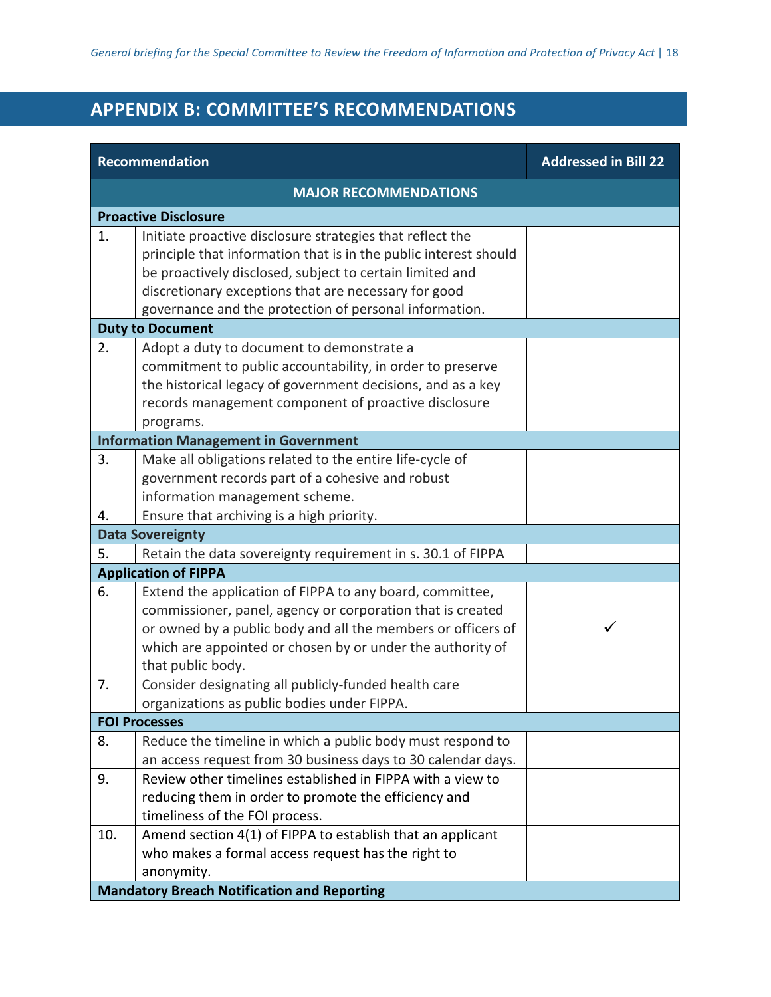# **APPENDIX B: COMMITTEE'S RECOMMENDATIONS**

| <b>Recommendation</b>        |                                                                  | <b>Addressed in Bill 22</b> |
|------------------------------|------------------------------------------------------------------|-----------------------------|
| <b>MAJOR RECOMMENDATIONS</b> |                                                                  |                             |
|                              | <b>Proactive Disclosure</b>                                      |                             |
| 1.                           | Initiate proactive disclosure strategies that reflect the        |                             |
|                              | principle that information that is in the public interest should |                             |
|                              | be proactively disclosed, subject to certain limited and         |                             |
|                              | discretionary exceptions that are necessary for good             |                             |
|                              | governance and the protection of personal information.           |                             |
|                              | <b>Duty to Document</b>                                          |                             |
| 2.                           | Adopt a duty to document to demonstrate a                        |                             |
|                              | commitment to public accountability, in order to preserve        |                             |
|                              | the historical legacy of government decisions, and as a key      |                             |
|                              | records management component of proactive disclosure             |                             |
|                              | programs.<br><b>Information Management in Government</b>         |                             |
| 3.                           | Make all obligations related to the entire life-cycle of         |                             |
|                              | government records part of a cohesive and robust                 |                             |
|                              | information management scheme.                                   |                             |
| 4.                           | Ensure that archiving is a high priority.                        |                             |
|                              | <b>Data Sovereignty</b>                                          |                             |
| 5.                           | Retain the data sovereignty requirement in s. 30.1 of FIPPA      |                             |
|                              | <b>Application of FIPPA</b>                                      |                             |
| 6.                           | Extend the application of FIPPA to any board, committee,         |                             |
|                              | commissioner, panel, agency or corporation that is created       |                             |
|                              | or owned by a public body and all the members or officers of     | ✓                           |
|                              | which are appointed or chosen by or under the authority of       |                             |
|                              | that public body.                                                |                             |
| 7.                           | Consider designating all publicly-funded health care             |                             |
|                              | organizations as public bodies under FIPPA.                      |                             |
|                              | <b>FOI Processes</b>                                             |                             |
| 8.                           | Reduce the timeline in which a public body must respond to       |                             |
|                              | an access request from 30 business days to 30 calendar days.     |                             |
| 9.                           | Review other timelines established in FIPPA with a view to       |                             |
|                              | reducing them in order to promote the efficiency and             |                             |
|                              | timeliness of the FOI process.                                   |                             |
| 10.                          | Amend section 4(1) of FIPPA to establish that an applicant       |                             |
|                              | who makes a formal access request has the right to<br>anonymity. |                             |
|                              | <b>Mandatory Breach Notification and Reporting</b>               |                             |
|                              |                                                                  |                             |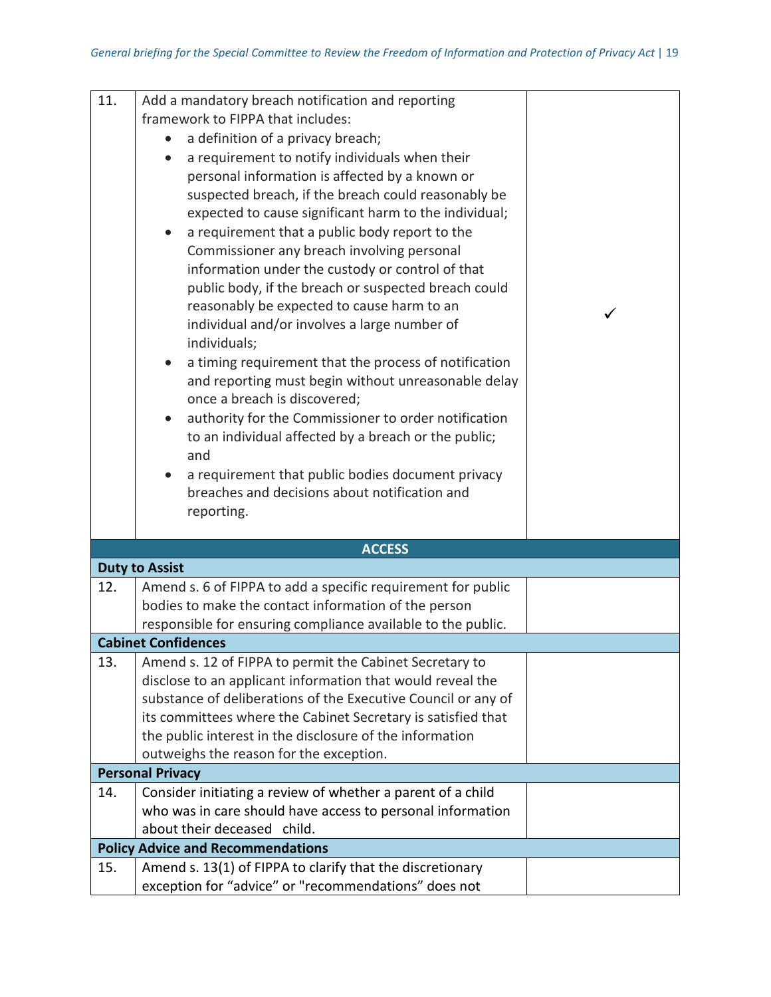| 11. | Add a mandatory breach notification and reporting             |  |
|-----|---------------------------------------------------------------|--|
|     | framework to FIPPA that includes:                             |  |
|     | a definition of a privacy breach;                             |  |
|     | a requirement to notify individuals when their                |  |
|     | personal information is affected by a known or                |  |
|     | suspected breach, if the breach could reasonably be           |  |
|     | expected to cause significant harm to the individual;         |  |
|     | a requirement that a public body report to the                |  |
|     | Commissioner any breach involving personal                    |  |
|     | information under the custody or control of that              |  |
|     | public body, if the breach or suspected breach could          |  |
|     | reasonably be expected to cause harm to an                    |  |
|     | individual and/or involves a large number of                  |  |
|     | individuals;                                                  |  |
|     | a timing requirement that the process of notification         |  |
|     | and reporting must begin without unreasonable delay           |  |
|     | once a breach is discovered;                                  |  |
|     | authority for the Commissioner to order notification          |  |
|     | to an individual affected by a breach or the public;          |  |
|     | and                                                           |  |
|     | a requirement that public bodies document privacy             |  |
|     | breaches and decisions about notification and                 |  |
|     | reporting.                                                    |  |
|     |                                                               |  |
|     | <b>ACCESS</b>                                                 |  |
|     | <b>Duty to Assist</b>                                         |  |
| 12. | Amend s. 6 of FIPPA to add a specific requirement for public  |  |
|     | bodies to make the contact information of the person          |  |
|     | responsible for ensuring compliance available to the public.  |  |
|     | <b>Cabinet Confidences</b>                                    |  |
| 13. | Amend s. 12 of FIPPA to permit the Cabinet Secretary to       |  |
|     | disclose to an applicant information that would reveal the    |  |
|     | substance of deliberations of the Executive Council or any of |  |
|     | its committees where the Cabinet Secretary is satisfied that  |  |
|     | the public interest in the disclosure of the information      |  |
|     | outweighs the reason for the exception.                       |  |
|     | <b>Personal Privacy</b>                                       |  |
| 14. | Consider initiating a review of whether a parent of a child   |  |
|     | who was in care should have access to personal information    |  |
|     | about their deceased child.                                   |  |
|     | <b>Policy Advice and Recommendations</b>                      |  |
| 15. | Amend s. 13(1) of FIPPA to clarify that the discretionary     |  |
|     | exception for "advice" or "recommendations" does not          |  |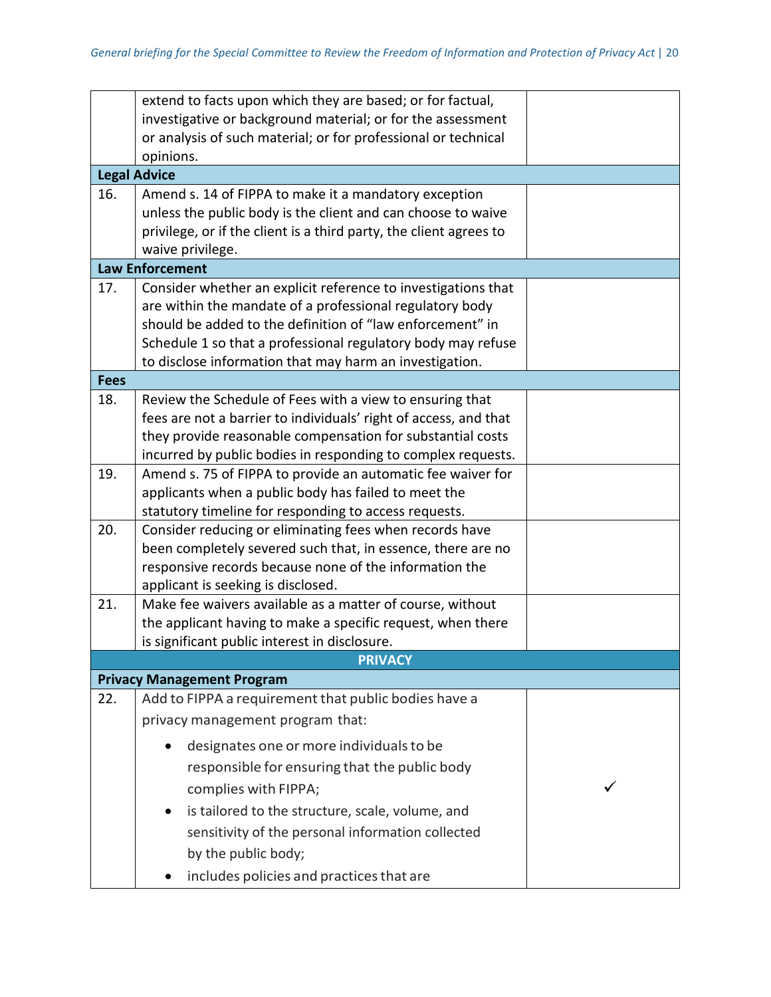|             | extend to facts upon which they are based; or for factual,         |  |
|-------------|--------------------------------------------------------------------|--|
|             | investigative or background material; or for the assessment        |  |
|             | or analysis of such material; or for professional or technical     |  |
|             | opinions.                                                          |  |
|             | <b>Legal Advice</b>                                                |  |
| 16.         | Amend s. 14 of FIPPA to make it a mandatory exception              |  |
|             | unless the public body is the client and can choose to waive       |  |
|             | privilege, or if the client is a third party, the client agrees to |  |
|             | waive privilege.                                                   |  |
|             | <b>Law Enforcement</b>                                             |  |
| 17.         | Consider whether an explicit reference to investigations that      |  |
|             | are within the mandate of a professional regulatory body           |  |
|             | should be added to the definition of "law enforcement" in          |  |
|             | Schedule 1 so that a professional regulatory body may refuse       |  |
|             | to disclose information that may harm an investigation.            |  |
| <b>Fees</b> |                                                                    |  |
| 18.         | Review the Schedule of Fees with a view to ensuring that           |  |
|             | fees are not a barrier to individuals' right of access, and that   |  |
|             | they provide reasonable compensation for substantial costs         |  |
|             | incurred by public bodies in responding to complex requests.       |  |
| 19.         | Amend s. 75 of FIPPA to provide an automatic fee waiver for        |  |
|             | applicants when a public body has failed to meet the               |  |
|             | statutory timeline for responding to access requests.              |  |
| 20.         | Consider reducing or eliminating fees when records have            |  |
|             | been completely severed such that, in essence, there are no        |  |
|             | responsive records because none of the information the             |  |
|             | applicant is seeking is disclosed.                                 |  |
| 21.         | Make fee waivers available as a matter of course, without          |  |
|             | the applicant having to make a specific request, when there        |  |
|             | is significant public interest in disclosure.                      |  |
|             | <b>PRIVACY</b>                                                     |  |
|             | <b>Privacy Management Program</b>                                  |  |
| 22.         | Add to FIPPA a requirement that public bodies have a               |  |
|             | privacy management program that:                                   |  |
|             | designates one or more individuals to be                           |  |
|             | responsible for ensuring that the public body                      |  |
|             | complies with FIPPA;                                               |  |
|             | is tailored to the structure, scale, volume, and<br>$\bullet$      |  |
|             | sensitivity of the personal information collected                  |  |
|             | by the public body;                                                |  |
|             | includes policies and practices that are                           |  |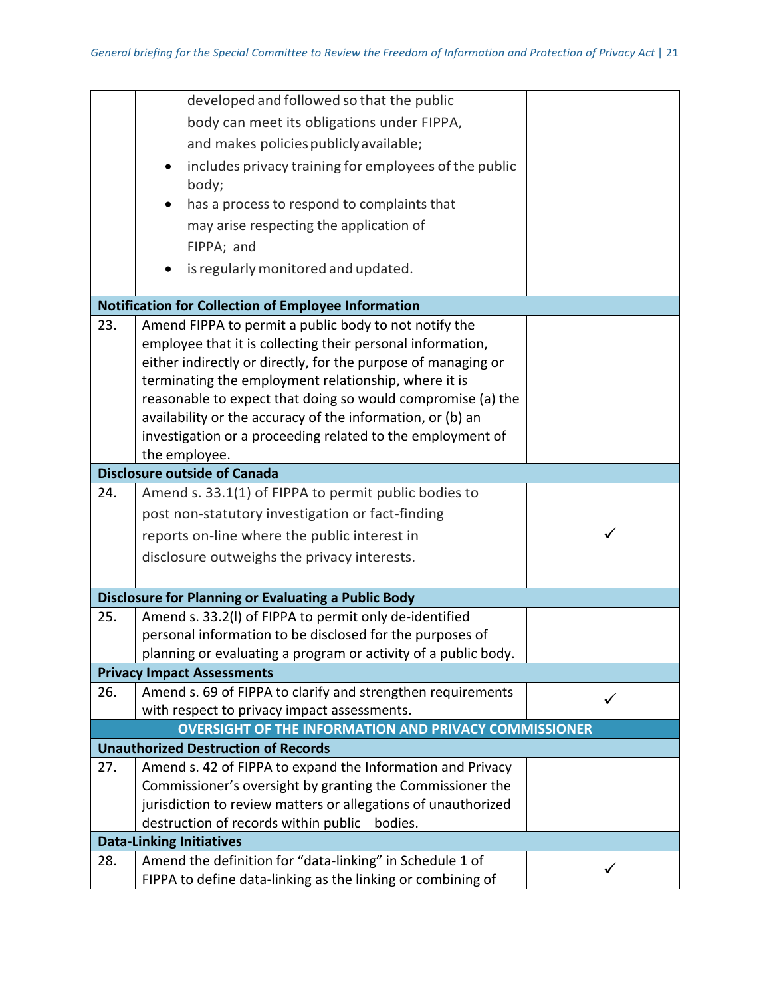|     | developed and followed so that the public                      |  |
|-----|----------------------------------------------------------------|--|
|     | body can meet its obligations under FIPPA,                     |  |
|     | and makes policies publicly available;                         |  |
|     | includes privacy training for employees of the public          |  |
|     | body;                                                          |  |
|     | has a process to respond to complaints that                    |  |
|     | may arise respecting the application of                        |  |
|     | FIPPA; and                                                     |  |
|     | is regularly monitored and updated.                            |  |
|     |                                                                |  |
|     | <b>Notification for Collection of Employee Information</b>     |  |
| 23. | Amend FIPPA to permit a public body to not notify the          |  |
|     | employee that it is collecting their personal information,     |  |
|     | either indirectly or directly, for the purpose of managing or  |  |
|     | terminating the employment relationship, where it is           |  |
|     | reasonable to expect that doing so would compromise (a) the    |  |
|     | availability or the accuracy of the information, or (b) an     |  |
|     | investigation or a proceeding related to the employment of     |  |
|     | the employee.                                                  |  |
|     | <b>Disclosure outside of Canada</b>                            |  |
| 24. | Amend s. 33.1(1) of FIPPA to permit public bodies to           |  |
|     | post non-statutory investigation or fact-finding               |  |
|     | reports on-line where the public interest in                   |  |
|     | disclosure outweighs the privacy interests.                    |  |
|     |                                                                |  |
|     | <b>Disclosure for Planning or Evaluating a Public Body</b>     |  |
| 25. | Amend s. 33.2(I) of FIPPA to permit only de-identified         |  |
|     | personal information to be disclosed for the purposes of       |  |
|     | planning or evaluating a program or activity of a public body. |  |
|     | <b>Privacy Impact Assessments</b>                              |  |
| 26. | Amend s. 69 of FIPPA to clarify and strengthen requirements    |  |
|     | with respect to privacy impact assessments.                    |  |
|     | <b>OVERSIGHT OF THE INFORMATION AND PRIVACY COMMISSIONER</b>   |  |
|     | <b>Unauthorized Destruction of Records</b>                     |  |
| 27. | Amend s. 42 of FIPPA to expand the Information and Privacy     |  |
|     | Commissioner's oversight by granting the Commissioner the      |  |
|     | jurisdiction to review matters or allegations of unauthorized  |  |
|     | destruction of records within public<br>bodies.                |  |
|     | <b>Data-Linking Initiatives</b>                                |  |
| 28. | Amend the definition for "data-linking" in Schedule 1 of       |  |
|     | FIPPA to define data-linking as the linking or combining of    |  |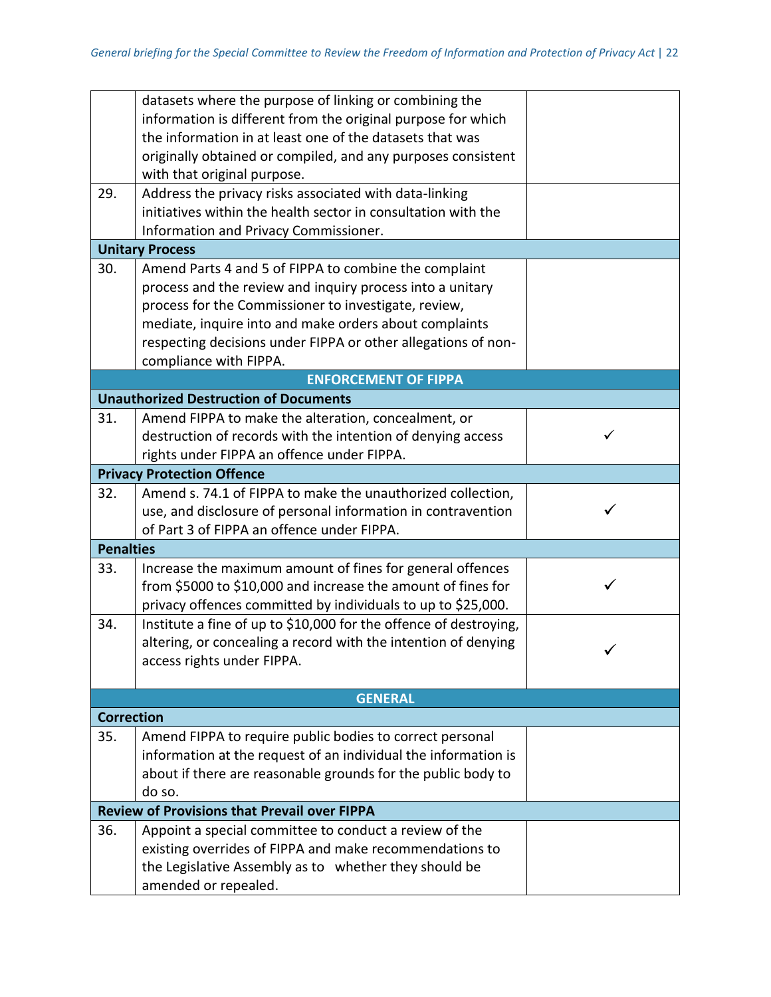|                   | datasets where the purpose of linking or combining the            |   |
|-------------------|-------------------------------------------------------------------|---|
|                   | information is different from the original purpose for which      |   |
|                   | the information in at least one of the datasets that was          |   |
|                   | originally obtained or compiled, and any purposes consistent      |   |
|                   | with that original purpose.                                       |   |
| 29.               | Address the privacy risks associated with data-linking            |   |
|                   | initiatives within the health sector in consultation with the     |   |
|                   | Information and Privacy Commissioner.                             |   |
|                   | <b>Unitary Process</b>                                            |   |
| 30.               | Amend Parts 4 and 5 of FIPPA to combine the complaint             |   |
|                   | process and the review and inquiry process into a unitary         |   |
|                   | process for the Commissioner to investigate, review,              |   |
|                   | mediate, inquire into and make orders about complaints            |   |
|                   | respecting decisions under FIPPA or other allegations of non-     |   |
|                   | compliance with FIPPA.                                            |   |
|                   | <b>ENFORCEMENT OF FIPPA</b>                                       |   |
|                   | <b>Unauthorized Destruction of Documents</b>                      |   |
| 31.               | Amend FIPPA to make the alteration, concealment, or               |   |
|                   | destruction of records with the intention of denying access       | ✓ |
|                   | rights under FIPPA an offence under FIPPA.                        |   |
|                   | <b>Privacy Protection Offence</b>                                 |   |
| 32.               | Amend s. 74.1 of FIPPA to make the unauthorized collection,       |   |
|                   | use, and disclosure of personal information in contravention      |   |
|                   | of Part 3 of FIPPA an offence under FIPPA.                        |   |
| <b>Penalties</b>  |                                                                   |   |
| 33.               | Increase the maximum amount of fines for general offences         |   |
|                   | from \$5000 to \$10,000 and increase the amount of fines for      |   |
|                   | privacy offences committed by individuals to up to \$25,000.      |   |
| 34.               | Institute a fine of up to \$10,000 for the offence of destroying, |   |
|                   | altering, or concealing a record with the intention of denying    |   |
|                   | access rights under FIPPA.                                        |   |
|                   |                                                                   |   |
|                   | <b>GENERAL</b>                                                    |   |
| <b>Correction</b> |                                                                   |   |
| 35.               | Amend FIPPA to require public bodies to correct personal          |   |
|                   | information at the request of an individual the information is    |   |
|                   | about if there are reasonable grounds for the public body to      |   |
|                   | do so.                                                            |   |
|                   | <b>Review of Provisions that Prevail over FIPPA</b>               |   |
| 36.               | Appoint a special committee to conduct a review of the            |   |
|                   | existing overrides of FIPPA and make recommendations to           |   |
|                   | the Legislative Assembly as to whether they should be             |   |
|                   | amended or repealed.                                              |   |